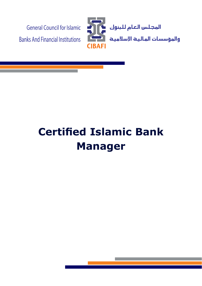

# **Certified Islamic Bank Manager**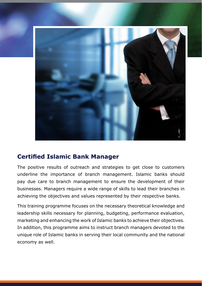

## **Certified Islamic Bank Manager**

The positive results of outreach and strategies to get close to customers underline the importance of branch management. Islamic banks should pay due care to branch management to ensure the development of their businesses. Managers require a wide range of skills to lead their branches in achieving the objectives and values represented by their respective banks.

This training programme focuses on the necessary theoretical knowledge and leadership skills necessary for planning, budgeting, performance evaluation, marketing and enhancing the work of Islamic banks to achieve their objectives. In addition, this programme aims to instruct branch managers devoted to the unique role of Islamic banks in serving their local community and the national economy as well.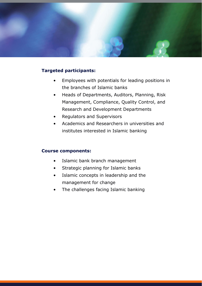

#### **Targeted participants:**

- Employees with potentials for leading positions in the branches of Islamic banks
- Heads of Departments, Auditors, Planning, Risk Management, Compliance, Quality Control, and Research and Development Departments
- Regulators and Supervisors
- Academics and Researchers in universities and institutes interested in Islamic banking

#### **Course components:**

- Islamic bank branch management
- Strategic planning for Islamic banks
- Islamic concepts in leadership and the management for change
- The challenges facing Islamic banking